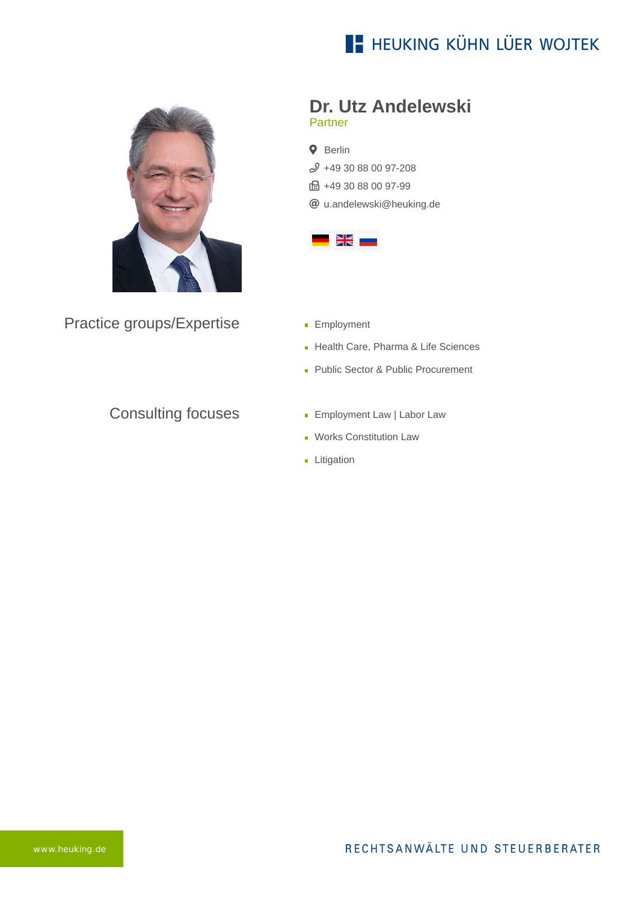# **E- HEUKING KÜHN LÜER WOJTEK**



Practice groups/Expertise

#### **Dr. Utz Andelewski** Partner

**Q** Berlin  $$49$  30 88 00 97-208  $\frac{1}{10}$  +49 30 88 00 97-99 [u.andelewski@heuking.de](mailto:u.andelewski@heuking.de?subject=Contact%20via%20website%20heuking.de)



- **Employment**
- Health Care, Pharma & Life Sciences
- Public Sector & Public Procurement

### Consulting focuses

- **Employment Law | Labor Law**
- Works Constitution Law
- **Litigation**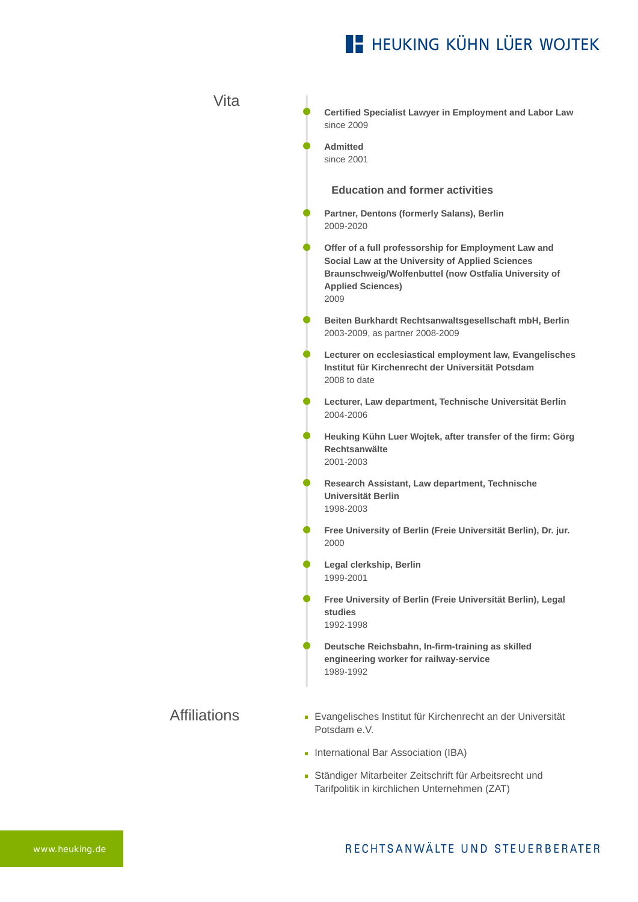## **E- HEUKING KÜHN LÜER WOJTEK**

**Certified Specialist Lawyer in Employment and Labor Law** since 2009 **Admitted** since 2001 **Education and former activities Partner, Dentons (formerly Salans), Berlin** 2009-2020 **Offer of a full professorship for Employment Law and Social Law at the University of Applied Sciences Braunschweig/Wolfenbuttel (now Ostfalia University of Applied Sciences)** 2009 **Beiten Burkhardt Rechtsanwaltsgesellschaft mbH, Berlin** 2003-2009, as partner 2008-2009 **Lecturer on ecclesiastical employment law, Evangelisches Institut für Kirchenrecht der Universität Potsdam** 2008 to date **Lecturer, Law department, Technische Universität Berlin** 2004-2006 **Heuking Kühn Luer Wojtek, after transfer of the firm: Görg Rechtsanwälte** 2001-2003 **Research Assistant, Law department, Technische Universität Berlin** 1998-2003 **Free University of Berlin (Freie Universität Berlin), Dr. jur.**  2000 **Legal clerkship, Berlin** 1999-2001 **Free University of Berlin (Freie Universität Berlin), Legal studies**  1992-1998 **Deutsche Reichsbahn, In-firm-training as skilled engineering worker for railway-service** 1989-1992 Evangelisches Institut für Kirchenrecht an der Universität Potsdam e.V.

Vita

Affiliations

- **International Bar Association (IBA)**
- Ständiger Mitarbeiter Zeitschrift für Arbeitsrecht und Tarifpolitik in kirchlichen Unternehmen (ZAT)